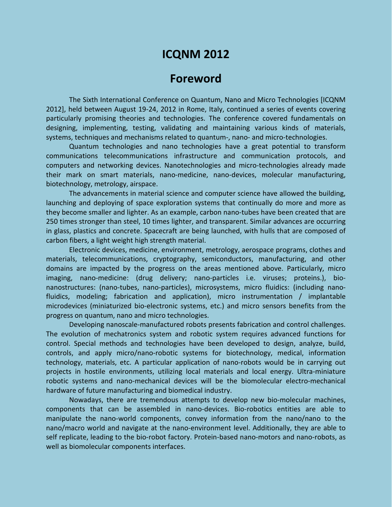## **ICQNM 2012**

## **Foreword**

The Sixth International Conference on Quantum, Nano and Micro Technologies [ICQNM 2012], held between August 19-24, 2012 in Rome, Italy, continued a series of events covering particularly promising theories and technologies. The conference covered fundamentals on designing, implementing, testing, validating and maintaining various kinds of materials, systems, techniques and mechanisms related to quantum-, nano- and micro-technologies.

Quantum technologies and nano technologies have a great potential to transform communications telecommunications infrastructure and communication protocols, and computers and networking devices. Nanotechnologies and micro-technologies already made their mark on smart materials, nano-medicine, nano-devices, molecular manufacturing, biotechnology, metrology, airspace.

The advancements in material science and computer science have allowed the building, launching and deploying of space exploration systems that continually do more and more as they become smaller and lighter. As an example, carbon nano-tubes have been created that are 250 times stronger than steel, 10 times lighter, and transparent. Similar advances are occurring in glass, plastics and concrete. Spacecraft are being launched, with hulls that are composed of carbon fibers, a light weight high strength material.

Electronic devices, medicine, environment, metrology, aerospace programs, clothes and materials, telecommunications, cryptography, semiconductors, manufacturing, and other domains are impacted by the progress on the areas mentioned above. Particularly, micro imaging, nano-medicine: (drug delivery; nano-particles i.e. viruses; proteins.), bionanostructures: (nano-tubes, nano-particles), microsystems, micro fluidics: (including nanofluidics, modeling; fabrication and application), micro instrumentation / implantable microdevices (miniaturized bio-electronic systems, etc.) and micro sensors benefits from the progress on quantum, nano and micro technologies.

Developing nanoscale-manufactured robots presents fabrication and control challenges. The evolution of mechatronics system and robotic system requires advanced functions for control. Special methods and technologies have been developed to design, analyze, build, controls, and apply micro/nano-robotic systems for biotechnology, medical, information technology, materials, etc. A particular application of nano-robots would be in carrying out projects in hostile environments, utilizing local materials and local energy. Ultra-miniature robotic systems and nano-mechanical devices will be the biomolecular electro-mechanical hardware of future manufacturing and biomedical industry.

Nowadays, there are tremendous attempts to develop new bio-molecular machines, components that can be assembled in nano-devices. Bio-robotics entities are able to manipulate the nano-world components, convey information from the nano/nano to the nano/macro world and navigate at the nano-environment level. Additionally, they are able to self replicate, leading to the bio-robot factory. Protein-based nano-motors and nano-robots, as well as biomolecular components interfaces.